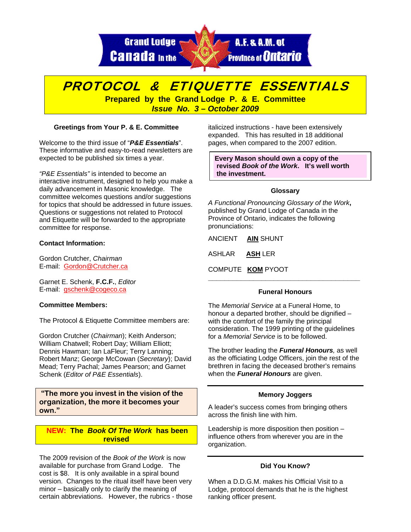**Grand Lodge Canada** In the



# PROTOCOL & ETIQUETTE ESSENTIALS

**Prepared by the Grand Lodge P. & E. Committee**  *Issue No. 3 – October 2009* 

# **Greetings from Your P. & E. Committee**

Welcome to the third issue of "*P&E Essentials*". These informative and easy-to-read newsletters are expected to be published six times a year.

*"P&E Essentials"* is intended to become an interactive instrument, designed to help you make a daily advancement in Masonic knowledge. The committee welcomes questions and/or suggestions for topics that should be addressed in future issues. Questions or suggestions not related to Protocol and Etiquette will be forwarded to the appropriate committee for response.

## **Contact Information:**

Gordon Crutcher, *Chairman* E-mail: Gordon@Crutcher.ca

Garnet E. Schenk, **F.C.F.**, *Editor*  E-mail: gschenk@cogeco.ca

#### **Committee Members:**

The Protocol & Etiquette Committee members are:

Gordon Crutcher (*Chairman*); Keith Anderson; William Chatwell; Robert Day; William Elliott; Dennis Hawman; Ian LaFleur; Terry Lanning; Robert Manz; George McCowan (*Secretary*); David Mead; Terry Pachal; James Pearson; and Garnet Schenk (*Editor of P&E Essentials*).

 **"The more you invest in the vision of the organization, the more it becomes your own."** 

# **NEW: The** *Book Of The Work* **has been revised**

The 2009 revision of the *Book of the Work* is now available for purchase from Grand Lodge. The cost is \$8. It is only available in a spiral bound version. Changes to the ritual itself have been very minor – basically only to clarify the meaning of certain abbreviations. However, the rubrics - those italicized instructions - have been extensively expanded. This has resulted in 18 additional pages, when compared to the 2007 edition.

**Every Mason should own a copy of the revised** *Book of the Work***. It's well worth the investment.** 

## **Glossary**

*A Functional Pronouncing Glossary of the Work***,** published by Grand Lodge of Canada in the Province of Ontario, indicates the following pronunciations:

ANCIENT **AIN** SHUNT

ASHLAR **ASH** LER

COMPUTE **KOM** PYOOT

# **Funeral Honours**

**\_\_\_\_\_\_\_\_\_\_\_\_\_\_\_\_\_\_\_\_\_\_\_\_\_\_\_\_\_\_\_\_\_\_\_\_\_** 

The *Memorial Service* at a Funeral Home, to honour a departed brother, should be dignified – with the comfort of the family the principal consideration. The 1999 printing of the guidelines for a *Memorial Service* is to be followed.

The brother leading the *Funeral Honours,* as well as the officiating Lodge Officers, join the rest of the brethren in facing the deceased brother's remains when the *Funeral Honours* are given.

#### **Memory Joggers**

A leader's success comes from bringing others across the finish line with him.

Leadership is more disposition then position – influence others from wherever you are in the organization.

# **Did You Know?**

When a D.D.G.M. makes his Official Visit to a Lodge, protocol demands that he is the highest ranking officer present.